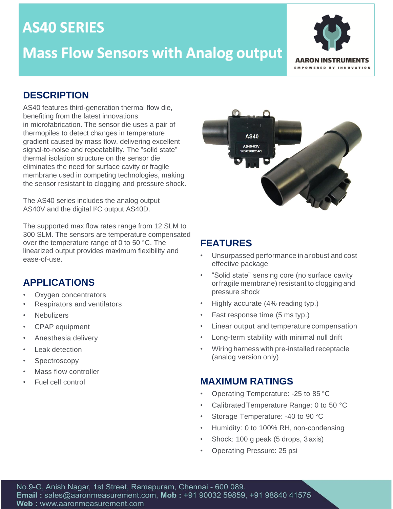## **AS40 SERIES**

## **Mass Flow Sensors with Analog output**



#### **DESCRIPTION**

AS40 features third-generation thermal flow die, benefiting from the latest innovations in microfabrication. The sensor die uses a pair of thermopiles to detect changes in temperature gradient caused by mass flow, delivering excellent signal-to-noise and repeatability. The "solid state" thermal isolation structure on the sensor die eliminates the need for surface cavity or fragile membrane used in competing technologies, making the sensor resistant to clogging and pressure shock.

The AS40 series includes the analog output AS40V and the digital I²C output AS40D.

The supported max flow rates range from 12 SLM to 300 SLM. The sensors are temperature compensated over the temperature range of 0 to 50 °C. The linearized output provides maximum flexibility and ease-of-use.

## **APPLICATIONS**

- Oxygen concentrators
- Respirators and ventilators
- **Nebulizers**
- CPAP equipment
- Anesthesia delivery
- Leak detection
- **Spectroscopy**
- Mass flow controller
- 



## **FEATURES**

- Unsurpassed performance in arobust and cost effective package
- "Solid state" sensing core (no surface cavity or fragile membrane) resistant to clogging and pressure shock
- Highly accurate (4% reading typ.)
- Fast response time (5 ms typ.)
- Linear output and temperature compensation
- Long-term stability with minimal null drift
- Wiring harness with pre-installed receptacle (analog version only)

#### • Fuel cell control **MAXIMUM RATINGS**

- Operating Temperature: -25 to 85 °C
- CalibratedTemperature Range: 0 to 50 °C
- Storage Temperature: -40 to 90 °C
- Humidity: 0 to 100% RH, non-condensing
- Shock: 100 g peak (5 drops, 3 axis)
- Operating Pressure: 25 psi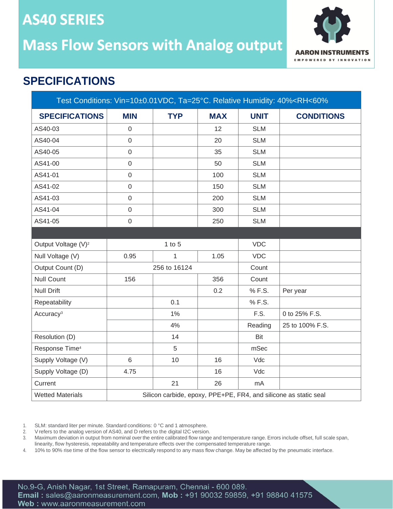# **AS40 SERIES Mass Flow Sensors with Analog output**



## **SPECIFICATIONS**

| Test Conditions: Vin=10±0.01VDC, Ta=25°C. Relative Humidity: 40% <rh<60%< th=""></rh<60%<> |                  |              |            |             |                                                                  |
|--------------------------------------------------------------------------------------------|------------------|--------------|------------|-------------|------------------------------------------------------------------|
| <b>SPECIFICATIONS</b>                                                                      | <b>MIN</b>       | <b>TYP</b>   | <b>MAX</b> | <b>UNIT</b> | <b>CONDITIONS</b>                                                |
| AS40-03                                                                                    | $\mathbf 0$      |              | 12         | <b>SLM</b>  |                                                                  |
| AS40-04                                                                                    | $\mathbf 0$      |              | 20         | <b>SLM</b>  |                                                                  |
| AS40-05                                                                                    | $\mathbf 0$      |              | 35         | <b>SLM</b>  |                                                                  |
| AS41-00                                                                                    | $\mathbf 0$      |              | 50         | <b>SLM</b>  |                                                                  |
| AS41-01                                                                                    | $\mathbf 0$      |              | 100        | <b>SLM</b>  |                                                                  |
| AS41-02                                                                                    | $\mathbf 0$      |              | 150        | <b>SLM</b>  |                                                                  |
| AS41-03                                                                                    | $\mathbf 0$      |              | 200        | <b>SLM</b>  |                                                                  |
| AS41-04                                                                                    | $\mathbf 0$      |              | 300        | <b>SLM</b>  |                                                                  |
| AS41-05                                                                                    | $\boldsymbol{0}$ |              | 250        | <b>SLM</b>  |                                                                  |
|                                                                                            |                  |              |            |             |                                                                  |
| Output Voltage (V) <sup>2</sup>                                                            |                  | $1$ to $5$   |            | <b>VDC</b>  |                                                                  |
| Null Voltage (V)                                                                           | 0.95             | $\mathbf{1}$ | 1.05       | <b>VDC</b>  |                                                                  |
| Output Count (D)                                                                           |                  | 256 to 16124 |            | Count       |                                                                  |
| <b>Null Count</b>                                                                          | 156              |              | 356        | Count       |                                                                  |
| <b>Null Drift</b>                                                                          |                  |              | 0.2        | % F.S.      | Per year                                                         |
| Repeatability                                                                              |                  | 0.1          |            | % F.S.      |                                                                  |
| Accuracy <sup>3</sup>                                                                      |                  | $1\%$        |            | F.S.        | 0 to 25% F.S.                                                    |
|                                                                                            |                  | 4%           |            | Reading     | 25 to 100% F.S.                                                  |
| Resolution (D)                                                                             |                  | 14           |            | Bit         |                                                                  |
| Response Time <sup>4</sup>                                                                 |                  | 5            |            | mSec        |                                                                  |
| Supply Voltage (V)                                                                         | $6\phantom{1}$   | 10           | 16         | Vdc         |                                                                  |
| Supply Voltage (D)                                                                         | 4.75             |              | 16         | Vdc         |                                                                  |
| Current                                                                                    |                  | 21           | 26         | mA          |                                                                  |
| <b>Wetted Materials</b>                                                                    |                  |              |            |             | Silicon carbide, epoxy, PPE+PE, FR4, and silicone as static seal |

1. SLM: standard liter per minute. Standard conditions: 0 °C and 1 atmosphere.

2. V refers to the analog version of AS40, and D refers to the digital I2C version.<br>3. Maximum deviation in output from nominal over the entire calibrated flow range

3. Maximum deviation in output from nominal over the entire calibrated flow range and temperature range. Errors include offset, full scale span, linearity, flow hysteresis, repeatability and temperature effects over the compensated temperature range.

4. 10% to 90% rise time of the flow sensor to electrically respond to any mass flow change. May be affected by the pneumatic interface.

No.9-G, Anish Nagar, 1st Street, Ramapuram, Chennai - 600 089. Email: sales@aaronmeasurement.com, Mob: +91 90032 59859, +91 98840 41575 Web: www.aaronmeasurement.com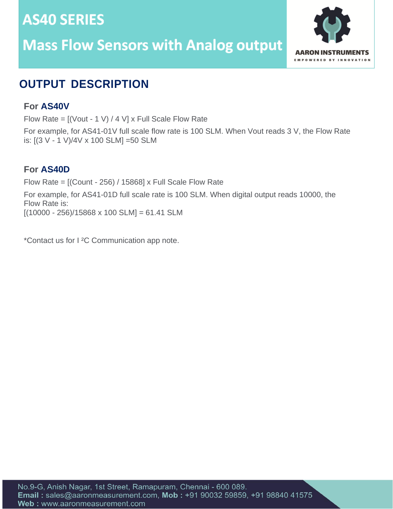# **AS40 SERIES Mass Flow Sensors with Analog output**



## **OUTPUT DESCRIPTION**

### **For AS40V**

Flow Rate =  $[(Vout - 1 V) / 4 V]$  x Full Scale Flow Rate

For example, for AS41-01V full scale flow rate is 100 SLM. When Vout reads 3 V, the Flow Rate is: [(3 V - 1 V)/4V x 100 SLM] =50 SLM

#### **For AS40D**

Flow Rate = [(Count - 256) / 15868] x Full Scale Flow Rate For example, for AS41-01D full scale rate is 100 SLM. When digital output reads 10000, the Flow Rate is:  $[(10000 - 256)/15868 \times 100$  SLM $] = 61.41$  SLM

\*Contact us for I ²C Communication app note.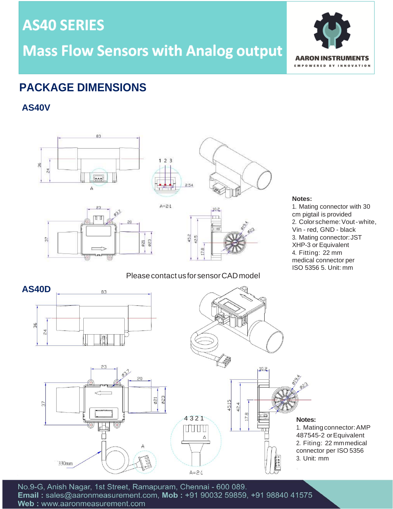**AS40 SERIES** 

**Mass Flow Sensors with Analog output** 



## **PACKAGE DIMENSIONS**

**AS40V**







#### **Notes:**

1. Mating connector with 30 cm pigtail is provided 2. Colorscheme:Vout-white, Vin - red, GND - black 3. Mating connector:JST XHP-3 or Equivalent 4. Fitting: 22 mm medical connector per ISO 5356 5. Unit: mm





 $10.2$ 

ĮŢ

45.15

42.4

1. Matingconnector:AMP 487545-2 orEquivalent 2. Fiting: 22 mmmedical connector per ISO 5356 3. Unit: mm

No.9-G, Anish Nagar, 1st Street, Ramapuram, Chennai - 600 089. Email: sales@aaronmeasurement.com, Mob: +91 90032 59859, +91 98840 41575 Web: www.aaronmeasurement.com